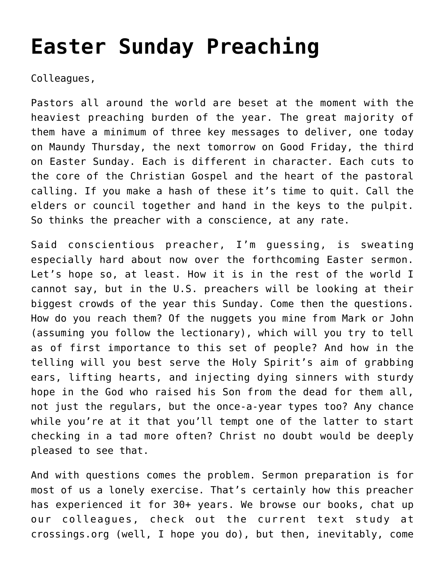# **[Easter Sunday Preaching](https://crossings.org/easter-sunday-preaching/)**

Colleagues,

Pastors all around the world are beset at the moment with the heaviest preaching burden of the year. The great majority of them have a minimum of three key messages to deliver, one today on Maundy Thursday, the next tomorrow on Good Friday, the third on Easter Sunday. Each is different in character. Each cuts to the core of the Christian Gospel and the heart of the pastoral calling. If you make a hash of these it's time to quit. Call the elders or council together and hand in the keys to the pulpit. So thinks the preacher with a conscience, at any rate.

Said conscientious preacher, I'm guessing, is sweating especially hard about now over the forthcoming Easter sermon. Let's hope so, at least. How it is in the rest of the world I cannot say, but in the U.S. preachers will be looking at their biggest crowds of the year this Sunday. Come then the questions. How do you reach them? Of the nuggets you mine from Mark or John (assuming you follow the lectionary), which will you try to tell as of first importance to this set of people? And how in the telling will you best serve the Holy Spirit's aim of grabbing ears, lifting hearts, and injecting dying sinners with sturdy hope in the God who raised his Son from the dead for them all, not just the regulars, but the once-a-year types too? Any chance while you're at it that you'll tempt one of the latter to start checking in a tad more often? Christ no doubt would be deeply pleased to see that.

And with questions comes the problem. Sermon preparation is for most of us a lonely exercise. That's certainly how this preacher has experienced it for 30+ years. We browse our books, chat up our colleagues, check out the current text study at crossings.org (well, I hope you do), but then, inevitably, come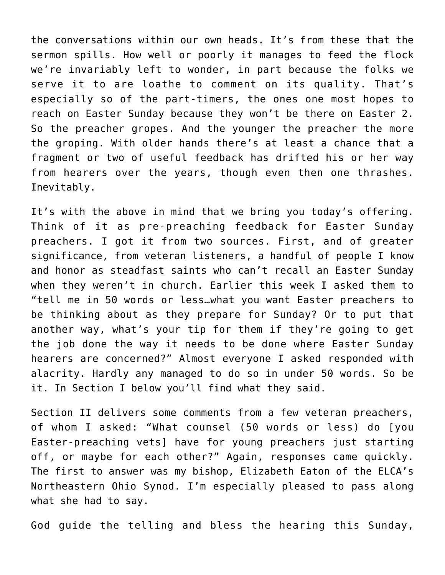the conversations within our own heads. It's from these that the sermon spills. How well or poorly it manages to feed the flock we're invariably left to wonder, in part because the folks we serve it to are loathe to comment on its quality. That's especially so of the part-timers, the ones one most hopes to reach on Easter Sunday because they won't be there on Easter 2. So the preacher gropes. And the younger the preacher the more the groping. With older hands there's at least a chance that a fragment or two of useful feedback has drifted his or her way from hearers over the years, though even then one thrashes. Inevitably.

It's with the above in mind that we bring you today's offering. Think of it as pre-preaching feedback for Easter Sunday preachers. I got it from two sources. First, and of greater significance, from veteran listeners, a handful of people I know and honor as steadfast saints who can't recall an Easter Sunday when they weren't in church. Earlier this week I asked them to "tell me in 50 words or less…what you want Easter preachers to be thinking about as they prepare for Sunday? Or to put that another way, what's your tip for them if they're going to get the job done the way it needs to be done where Easter Sunday hearers are concerned?" Almost everyone I asked responded with alacrity. Hardly any managed to do so in under 50 words. So be it. In Section I below you'll find what they said.

Section II delivers some comments from a few veteran preachers, of whom I asked: "What counsel (50 words or less) do [you Easter-preaching vets] have for young preachers just starting off, or maybe for each other?" Again, responses came quickly. The first to answer was my bishop, Elizabeth Eaton of the ELCA's Northeastern Ohio Synod. I'm especially pleased to pass along what she had to say.

God guide the telling and bless the hearing this Sunday,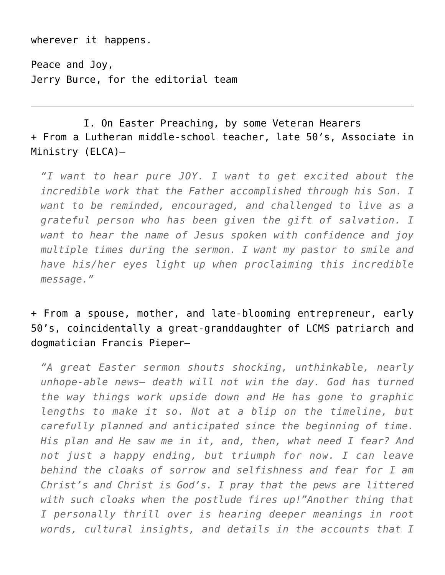wherever it happens.

Peace and Joy, Jerry Burce, for the editorial team

I. On Easter Preaching, by some Veteran Hearers + From a Lutheran middle-school teacher, late 50's, Associate in Ministry (ELCA)–

*"I want to hear pure JOY. I want to get excited about the incredible work that the Father accomplished through his Son. I want to be reminded, encouraged, and challenged to live as a grateful person who has been given the gift of salvation. I want to hear the name of Jesus spoken with confidence and joy multiple times during the sermon. I want my pastor to smile and have his/her eyes light up when proclaiming this incredible message."*

+ From a spouse, mother, and late-blooming entrepreneur, early 50's, coincidentally a great-granddaughter of LCMS patriarch and dogmatician Francis Pieper–

*"A great Easter sermon shouts shocking, unthinkable, nearly unhope-able news– death will not win the day. God has turned the way things work upside down and He has gone to graphic lengths to make it so. Not at a blip on the timeline, but carefully planned and anticipated since the beginning of time. His plan and He saw me in it, and, then, what need I fear? And not just a happy ending, but triumph for now. I can leave behind the cloaks of sorrow and selfishness and fear for I am Christ's and Christ is God's. I pray that the pews are littered with such cloaks when the postlude fires up!"Another thing that I personally thrill over is hearing deeper meanings in root words, cultural insights, and details in the accounts that I*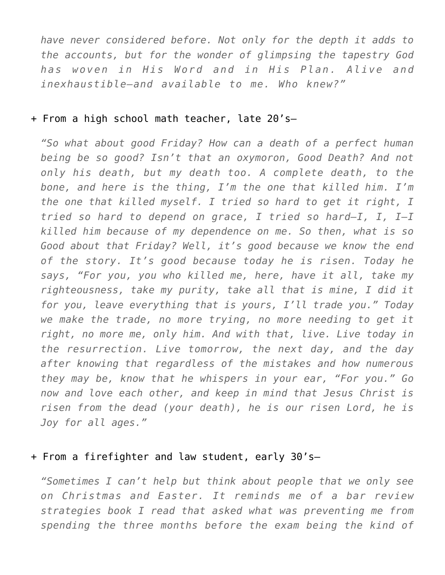*have never considered before. Not only for the depth it adds to the accounts, but for the wonder of glimpsing the tapestry God has woven in His Word and in His Plan. Alive and inexhaustible—and available to me. Who knew?"*

#### + From a high school math teacher, late 20's–

*"So what about good Friday? How can a death of a perfect human being be so good? Isn't that an oxymoron, Good Death? And not only his death, but my death too. A complete death, to the bone, and here is the thing, I'm the one that killed him. I'm the one that killed myself. I tried so hard to get it right, I tried so hard to depend on grace, I tried so hard—I, I, I—I killed him because of my dependence on me. So then, what is so Good about that Friday? Well, it's good because we know the end of the story. It's good because today he is risen. Today he says, "For you, you who killed me, here, have it all, take my righteousness, take my purity, take all that is mine, I did it for you, leave everything that is yours, I'll trade you." Today we make the trade, no more trying, no more needing to get it right, no more me, only him. And with that, live. Live today in the resurrection. Live tomorrow, the next day, and the day after knowing that regardless of the mistakes and how numerous they may be, know that he whispers in your ear, "For you." Go now and love each other, and keep in mind that Jesus Christ is risen from the dead (your death), he is our risen Lord, he is Joy for all ages."*

#### + From a firefighter and law student, early 30's–

*"Sometimes I can't help but think about people that we only see on Christmas and Easter. It reminds me of a bar review strategies book I read that asked what was preventing me from spending the three months before the exam being the kind of*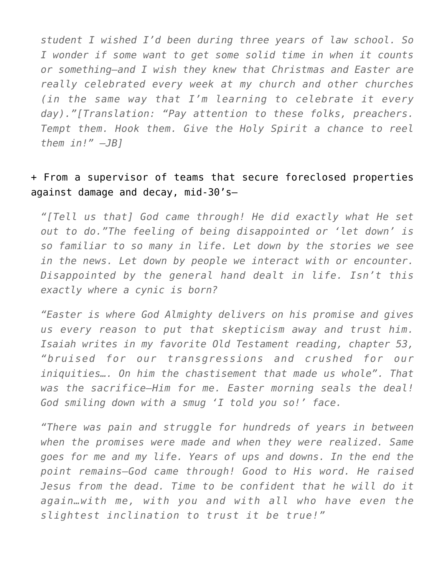*student I wished I'd been during three years of law school. So I wonder if some want to get some solid time in when it counts or something—and I wish they knew that Christmas and Easter are really celebrated every week at my church and other churches (in the same way that I'm learning to celebrate it every day)."[Translation: "Pay attention to these folks, preachers. Tempt them. Hook them. Give the Holy Spirit a chance to reel them in!" –JB]*

#### + From a supervisor of teams that secure foreclosed properties against damage and decay, mid-30's–

*"[Tell us that] God came through! He did exactly what He set out to do."The feeling of being disappointed or 'let down' is so familiar to so many in life. Let down by the stories we see in the news. Let down by people we interact with or encounter. Disappointed by the general hand dealt in life. Isn't this exactly where a cynic is born?*

*"Easter is where God Almighty delivers on his promise and gives us every reason to put that skepticism away and trust him. Isaiah writes in my favorite Old Testament reading, chapter 53, "bruised for our transgressions and crushed for our iniquities…. On him the chastisement that made us whole". That was the sacrifice—Him for me. Easter morning seals the deal! God smiling down with a smug 'I told you so!' face.*

*"There was pain and struggle for hundreds of years in between when the promises were made and when they were realized. Same goes for me and my life. Years of ups and downs. In the end the point remains—God came through! Good to His word. He raised Jesus from the dead. Time to be confident that he will do it again…with me, with you and with all who have even the slightest inclination to trust it be true!"*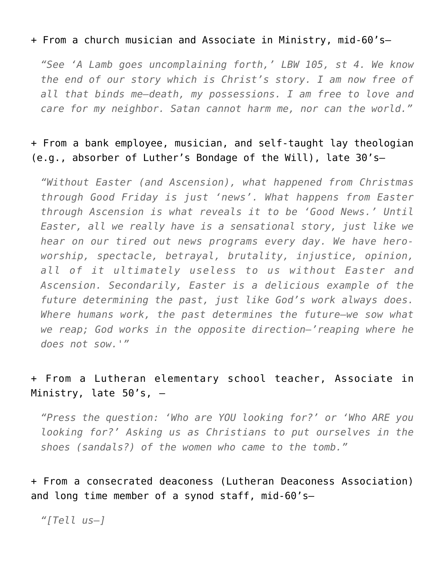#### + From a church musician and Associate in Ministry, mid-60's–

*"See 'A Lamb goes uncomplaining forth,' LBW 105, st 4. We know the end of our story which is Christ's story. I am now free of all that binds me–death, my possessions. I am free to love and care for my neighbor. Satan cannot harm me, nor can the world."*

#### + From a bank employee, musician, and self-taught lay theologian (e.g., absorber of Luther's Bondage of the Will), late 30's–

*"Without Easter (and Ascension), what happened from Christmas through Good Friday is just 'news'. What happens from Easter through Ascension is what reveals it to be 'Good News.' Until Easter, all we really have is a sensational story, just like we hear on our tired out news programs every day. We have heroworship, spectacle, betrayal, brutality, injustice, opinion, all of it ultimately useless to us without Easter and Ascension. Secondarily, Easter is a delicious example of the future determining the past, just like God's work always does. Where humans work, the past determines the future—we sow what we reap; God works in the opposite direction—'reaping where he does not sow.'"*

## + From a Lutheran elementary school teacher, Associate in Ministry, late  $50's$ ,  $-$

*"Press the question: 'Who are YOU looking for?' or 'Who ARE you looking for?' Asking us as Christians to put ourselves in the shoes (sandals?) of the women who came to the tomb."*

+ From a consecrated deaconess (Lutheran Deaconess Association) and long time member of a synod staff, mid-60's–

*"[Tell us–]*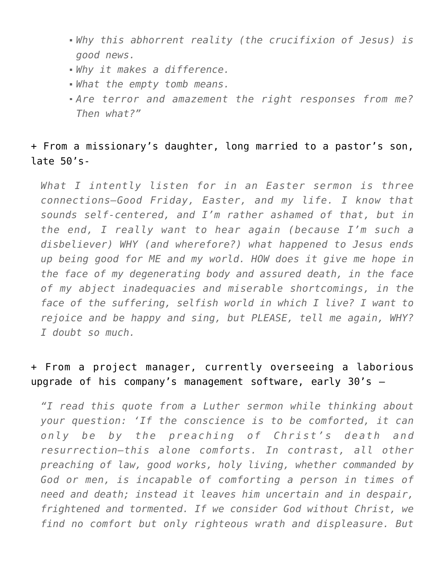- *Why this abhorrent reality (the crucifixion of Jesus) is good news.*
- *Why it makes a difference.*
- *What the empty tomb means.*
- *Are terror and amazement the right responses from me? Then what?"*

## + From a missionary's daughter, long married to a pastor's son, late 50's-

*What I intently listen for in an Easter sermon is three connections—Good Friday, Easter, and my life. I know that sounds self-centered, and I'm rather ashamed of that, but in the end, I really want to hear again (because I'm such a disbeliever) WHY (and wherefore?) what happened to Jesus ends up being good for ME and my world. HOW does it give me hope in the face of my degenerating body and assured death, in the face of my abject inadequacies and miserable shortcomings, in the face of the suffering, selfish world in which I live? I want to rejoice and be happy and sing, but PLEASE, tell me again, WHY? I doubt so much.*

# + From a project manager, currently overseeing a laborious upgrade of his company's management software, early 30's —

*"I read this quote from a Luther sermon while thinking about your question: 'If the conscience is to be comforted, it can only be by the preaching of Christ's death and resurrection—this alone comforts. In contrast, all other preaching of law, good works, holy living, whether commanded by God or men, is incapable of comforting a person in times of need and death; instead it leaves him uncertain and in despair, frightened and tormented. If we consider God without Christ, we find no comfort but only righteous wrath and displeasure. But*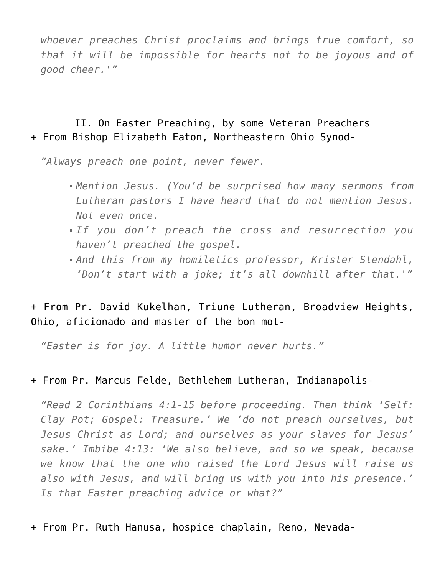*whoever preaches Christ proclaims and brings true comfort, so that it will be impossible for hearts not to be joyous and of good cheer.'"*

II. On Easter Preaching, by some Veteran Preachers + From Bishop Elizabeth Eaton, Northeastern Ohio Synod-

*"Always preach one point, never fewer.*

- *Mention Jesus. (You'd be surprised how many sermons from Lutheran pastors I have heard that do not mention Jesus. Not even once.*
- *If you don't preach the cross and resurrection you haven't preached the gospel.*
- *And this from my homiletics professor, Krister Stendahl, 'Don't start with a joke; it's all downhill after that.'"*

## + From Pr. David Kukelhan, Triune Lutheran, Broadview Heights, Ohio, aficionado and master of the bon mot-

*"Easter is for joy. A little humor never hurts."*

#### + From Pr. Marcus Felde, Bethlehem Lutheran, Indianapolis-

*"Read 2 Corinthians 4:1-15 before proceeding. Then think 'Self: Clay Pot; Gospel: Treasure.' We 'do not preach ourselves, but Jesus Christ as Lord; and ourselves as your slaves for Jesus' sake.' Imbibe 4:13: 'We also believe, and so we speak, because we know that the one who raised the Lord Jesus will raise us also with Jesus, and will bring us with you into his presence.' Is that Easter preaching advice or what?"*

+ From Pr. Ruth Hanusa, hospice chaplain, Reno, Nevada-